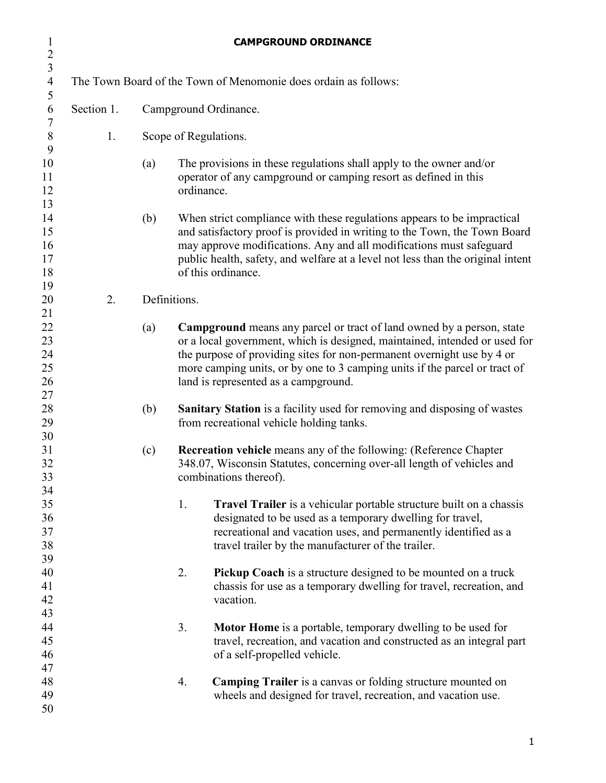| $\mathbf{1}$<br>$\overline{2}$         |            |                       |              | <b>CAMPGROUND ORDINANCE</b>                                                                                                                                                                                                                                                                                                                         |  |  |
|----------------------------------------|------------|-----------------------|--------------|-----------------------------------------------------------------------------------------------------------------------------------------------------------------------------------------------------------------------------------------------------------------------------------------------------------------------------------------------------|--|--|
| $\overline{3}$<br>$\overline{4}$       |            |                       |              | The Town Board of the Town of Menomonie does ordain as follows:                                                                                                                                                                                                                                                                                     |  |  |
| $\mathfrak s$<br>6                     | Section 1. | Campground Ordinance. |              |                                                                                                                                                                                                                                                                                                                                                     |  |  |
| $\tau$<br>$\,8\,$                      | 1.         | Scope of Regulations. |              |                                                                                                                                                                                                                                                                                                                                                     |  |  |
| 9<br>10<br>11<br>12                    |            | (a)                   | ordinance.   | The provisions in these regulations shall apply to the owner and/or<br>operator of any campground or camping resort as defined in this                                                                                                                                                                                                              |  |  |
| 13<br>14<br>15<br>16<br>17<br>18<br>19 |            | (b)                   |              | When strict compliance with these regulations appears to be impractical<br>and satisfactory proof is provided in writing to the Town, the Town Board<br>may approve modifications. Any and all modifications must safeguard<br>public health, safety, and welfare at a level not less than the original intent<br>of this ordinance.                |  |  |
| 20                                     | 2.         |                       | Definitions. |                                                                                                                                                                                                                                                                                                                                                     |  |  |
| 21<br>22<br>23<br>24<br>25<br>26       |            | (a)                   |              | Campground means any parcel or tract of land owned by a person, state<br>or a local government, which is designed, maintained, intended or used for<br>the purpose of providing sites for non-permanent overnight use by 4 or<br>more camping units, or by one to 3 camping units if the parcel or tract of<br>land is represented as a campground. |  |  |
| 27<br>28<br>29                         |            | (b)                   |              | Sanitary Station is a facility used for removing and disposing of wastes<br>from recreational vehicle holding tanks.                                                                                                                                                                                                                                |  |  |
| 30<br>31<br>32<br>33                   |            | (c)                   |              | <b>Recreation vehicle</b> means any of the following: (Reference Chapter<br>348.07, Wisconsin Statutes, concerning over-all length of vehicles and<br>combinations thereof).                                                                                                                                                                        |  |  |
| 34<br>35<br>36<br>37<br>38<br>39       |            |                       | 1.           | Travel Trailer is a vehicular portable structure built on a chassis<br>designated to be used as a temporary dwelling for travel,<br>recreational and vacation uses, and permanently identified as a<br>travel trailer by the manufacturer of the trailer.                                                                                           |  |  |
| 40<br>41<br>42<br>43                   |            |                       | 2.           | <b>Pickup Coach</b> is a structure designed to be mounted on a truck<br>chassis for use as a temporary dwelling for travel, recreation, and<br>vacation.                                                                                                                                                                                            |  |  |
| 44<br>45<br>46<br>47                   |            |                       | 3.           | <b>Motor Home</b> is a portable, temporary dwelling to be used for<br>travel, recreation, and vacation and constructed as an integral part<br>of a self-propelled vehicle.                                                                                                                                                                          |  |  |
| 48<br>49<br>50                         |            |                       | 4.           | <b>Camping Trailer</b> is a canvas or folding structure mounted on<br>wheels and designed for travel, recreation, and vacation use.                                                                                                                                                                                                                 |  |  |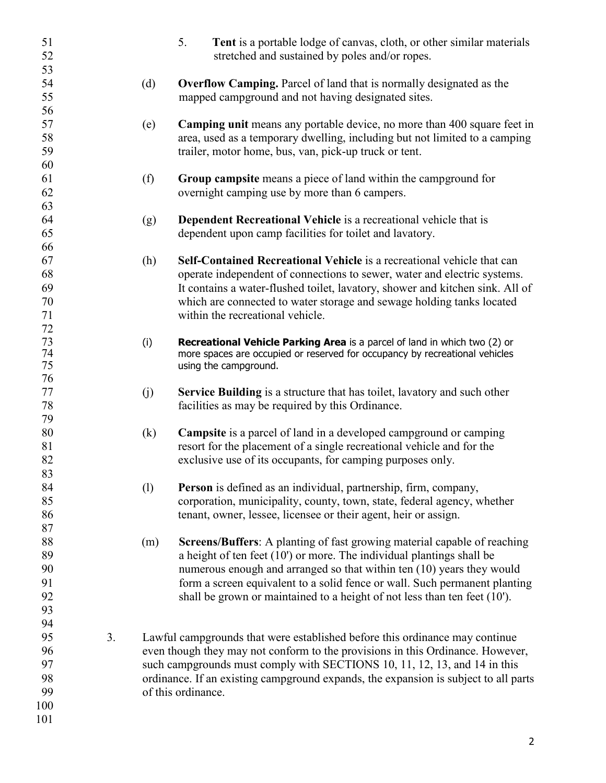| 51<br>52                                       |    |     | 5.<br>Tent is a portable lodge of canvas, cloth, or other similar materials<br>stretched and sustained by poles and/or ropes.                                                                                                                                                                                                                                                             |
|------------------------------------------------|----|-----|-------------------------------------------------------------------------------------------------------------------------------------------------------------------------------------------------------------------------------------------------------------------------------------------------------------------------------------------------------------------------------------------|
| 53<br>54<br>55                                 |    | (d) | <b>Overflow Camping.</b> Parcel of land that is normally designated as the<br>mapped campground and not having designated sites.                                                                                                                                                                                                                                                          |
| 56<br>57<br>58<br>59                           |    | (e) | <b>Camping unit</b> means any portable device, no more than 400 square feet in<br>area, used as a temporary dwelling, including but not limited to a camping<br>trailer, motor home, bus, van, pick-up truck or tent.                                                                                                                                                                     |
| 60<br>61<br>62<br>63                           |    | (f) | Group campsite means a piece of land within the campground for<br>overnight camping use by more than 6 campers.                                                                                                                                                                                                                                                                           |
| 64<br>65<br>66                                 |    | (g) | <b>Dependent Recreational Vehicle</b> is a recreational vehicle that is<br>dependent upon camp facilities for toilet and lavatory.                                                                                                                                                                                                                                                        |
| 67<br>68<br>69<br>70<br>71                     |    | (h) | Self-Contained Recreational Vehicle is a recreational vehicle that can<br>operate independent of connections to sewer, water and electric systems.<br>It contains a water-flushed toilet, lavatory, shower and kitchen sink. All of<br>which are connected to water storage and sewage holding tanks located<br>within the recreational vehicle.                                          |
| 72<br>73<br>74<br>75                           |    | (i) | Recreational Vehicle Parking Area is a parcel of land in which two (2) or<br>more spaces are occupied or reserved for occupancy by recreational vehicles<br>using the campground.                                                                                                                                                                                                         |
| 76<br>77<br>78<br>79                           |    | (j) | Service Building is a structure that has toilet, lavatory and such other<br>facilities as may be required by this Ordinance.                                                                                                                                                                                                                                                              |
| 80<br>81<br>82                                 |    | (k) | <b>Campsite</b> is a parcel of land in a developed campground or camping<br>resort for the placement of a single recreational vehicle and for the<br>exclusive use of its occupants, for camping purposes only.                                                                                                                                                                           |
| 83<br>84<br>85<br>86                           |    | (1) | <b>Person</b> is defined as an individual, partnership, firm, company,<br>corporation, municipality, county, town, state, federal agency, whether<br>tenant, owner, lessee, licensee or their agent, heir or assign.                                                                                                                                                                      |
| 87<br>88<br>89<br>90<br>91<br>92<br>93         |    | (m) | Screens/Buffers: A planting of fast growing material capable of reaching<br>a height of ten feet $(10)$ or more. The individual plantings shall be<br>numerous enough and arranged so that within ten (10) years they would<br>form a screen equivalent to a solid fence or wall. Such permanent planting<br>shall be grown or maintained to a height of not less than ten feet $(10')$ . |
| 94<br>95<br>96<br>97<br>98<br>99<br>100<br>101 | 3. |     | Lawful campgrounds that were established before this ordinance may continue<br>even though they may not conform to the provisions in this Ordinance. However,<br>such campgrounds must comply with SECTIONS 10, 11, 12, 13, and 14 in this<br>ordinance. If an existing campground expands, the expansion is subject to all parts<br>of this ordinance.                                   |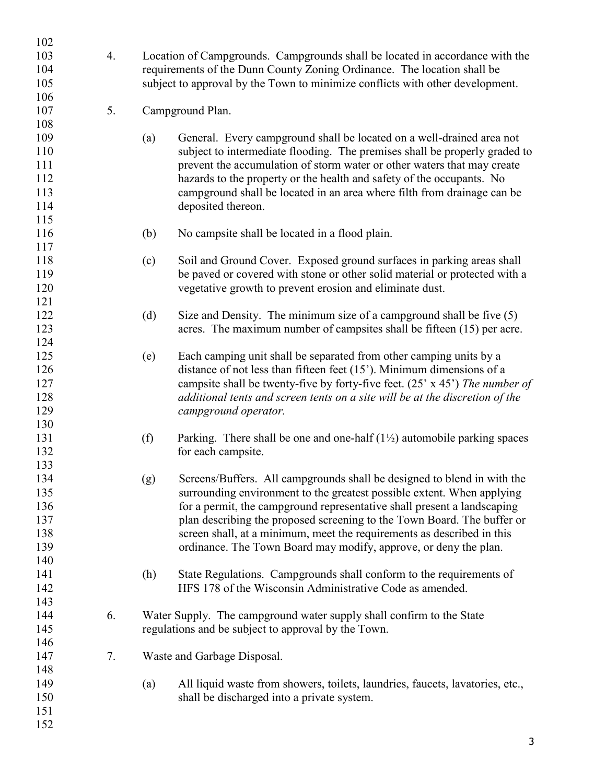| 102        |    |                                                                                                                                                         |                                                                                     |  |  |
|------------|----|---------------------------------------------------------------------------------------------------------------------------------------------------------|-------------------------------------------------------------------------------------|--|--|
| 103<br>104 | 4. | Location of Campgrounds. Campgrounds shall be located in accordance with the<br>requirements of the Dunn County Zoning Ordinance. The location shall be |                                                                                     |  |  |
| 105        |    |                                                                                                                                                         | subject to approval by the Town to minimize conflicts with other development.       |  |  |
| 106        |    |                                                                                                                                                         |                                                                                     |  |  |
| 107        | 5. |                                                                                                                                                         | Campground Plan.                                                                    |  |  |
| 108        |    |                                                                                                                                                         |                                                                                     |  |  |
| 109        |    | (a)                                                                                                                                                     | General. Every campground shall be located on a well-drained area not               |  |  |
| 110        |    |                                                                                                                                                         | subject to intermediate flooding. The premises shall be properly graded to          |  |  |
|            |    |                                                                                                                                                         |                                                                                     |  |  |
| 111        |    |                                                                                                                                                         | prevent the accumulation of storm water or other waters that may create             |  |  |
| 112        |    |                                                                                                                                                         | hazards to the property or the health and safety of the occupants. No               |  |  |
| 113        |    |                                                                                                                                                         | campground shall be located in an area where filth from drainage can be             |  |  |
| 114        |    |                                                                                                                                                         | deposited thereon.                                                                  |  |  |
| 115        |    |                                                                                                                                                         |                                                                                     |  |  |
| 116        |    | (b)                                                                                                                                                     | No campsite shall be located in a flood plain.                                      |  |  |
| 117        |    |                                                                                                                                                         |                                                                                     |  |  |
| 118        |    | (c)                                                                                                                                                     | Soil and Ground Cover. Exposed ground surfaces in parking areas shall               |  |  |
| 119        |    |                                                                                                                                                         | be paved or covered with stone or other solid material or protected with a          |  |  |
| 120        |    |                                                                                                                                                         | vegetative growth to prevent erosion and eliminate dust.                            |  |  |
| 121        |    |                                                                                                                                                         |                                                                                     |  |  |
| 122        |    | (d)                                                                                                                                                     | Size and Density. The minimum size of a campground shall be five $(5)$              |  |  |
| 123        |    |                                                                                                                                                         | acres. The maximum number of campsites shall be fifteen (15) per acre.              |  |  |
| 124        |    |                                                                                                                                                         |                                                                                     |  |  |
| 125        |    | (e)                                                                                                                                                     | Each camping unit shall be separated from other camping units by a                  |  |  |
| 126        |    |                                                                                                                                                         | distance of not less than fifteen feet $(15)$ . Minimum dimensions of a             |  |  |
| 127        |    |                                                                                                                                                         | campsite shall be twenty-five by forty-five feet. (25' x 45') The number of         |  |  |
| 128        |    |                                                                                                                                                         | additional tents and screen tents on a site will be at the discretion of the        |  |  |
| 129        |    |                                                                                                                                                         | campground operator.                                                                |  |  |
| 130        |    |                                                                                                                                                         |                                                                                     |  |  |
| 131        |    | (f)                                                                                                                                                     | Parking. There shall be one and one-half $(1\frac{1}{2})$ automobile parking spaces |  |  |
| 132        |    |                                                                                                                                                         | for each campsite.                                                                  |  |  |
| 133        |    |                                                                                                                                                         |                                                                                     |  |  |
| 134        |    | (g)                                                                                                                                                     | Screens/Buffers. All campgrounds shall be designed to blend in with the             |  |  |
| 135        |    |                                                                                                                                                         | surrounding environment to the greatest possible extent. When applying              |  |  |
| 136        |    |                                                                                                                                                         | for a permit, the campground representative shall present a landscaping             |  |  |
| 137        |    |                                                                                                                                                         | plan describing the proposed screening to the Town Board. The buffer or             |  |  |
| 138        |    |                                                                                                                                                         | screen shall, at a minimum, meet the requirements as described in this              |  |  |
| 139        |    |                                                                                                                                                         | ordinance. The Town Board may modify, approve, or deny the plan.                    |  |  |
| 140        |    |                                                                                                                                                         |                                                                                     |  |  |
| 141        |    | (h)                                                                                                                                                     | State Regulations. Campgrounds shall conform to the requirements of                 |  |  |
| 142        |    |                                                                                                                                                         | HFS 178 of the Wisconsin Administrative Code as amended.                            |  |  |
| 143        |    |                                                                                                                                                         |                                                                                     |  |  |
| 144        | 6. |                                                                                                                                                         | Water Supply. The campground water supply shall confirm to the State                |  |  |
| 145        |    |                                                                                                                                                         | regulations and be subject to approval by the Town.                                 |  |  |
| 146        |    |                                                                                                                                                         |                                                                                     |  |  |
| 147        | 7. |                                                                                                                                                         | Waste and Garbage Disposal.                                                         |  |  |
| 148        |    |                                                                                                                                                         |                                                                                     |  |  |
| 149        |    | (a)                                                                                                                                                     | All liquid waste from showers, toilets, laundries, faucets, lavatories, etc.,       |  |  |
| 150        |    |                                                                                                                                                         | shall be discharged into a private system.                                          |  |  |
| 151        |    |                                                                                                                                                         |                                                                                     |  |  |
| 152        |    |                                                                                                                                                         |                                                                                     |  |  |
|            |    |                                                                                                                                                         |                                                                                     |  |  |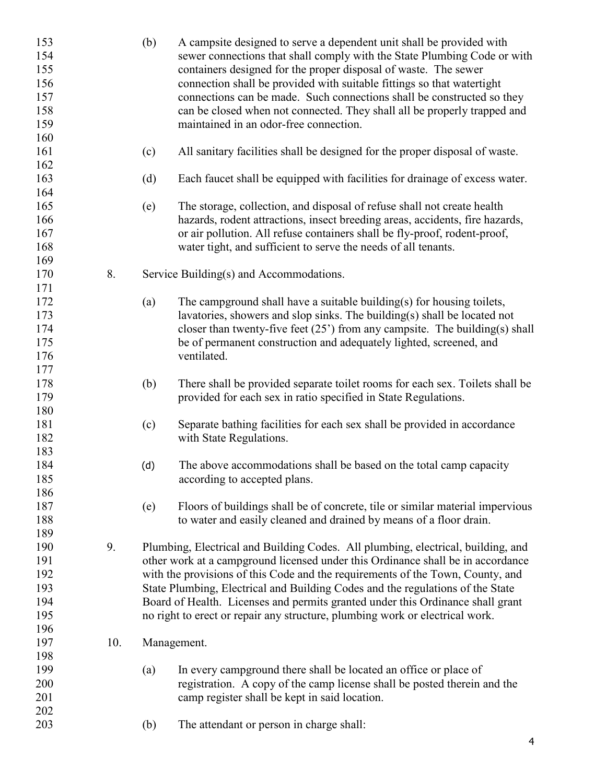| 153<br>154 |     | (b) | A campsite designed to serve a dependent unit shall be provided with<br>sewer connections that shall comply with the State Plumbing Code or with |
|------------|-----|-----|--------------------------------------------------------------------------------------------------------------------------------------------------|
| 155        |     |     |                                                                                                                                                  |
|            |     |     | containers designed for the proper disposal of waste. The sewer                                                                                  |
| 156        |     |     | connection shall be provided with suitable fittings so that watertight                                                                           |
| 157        |     |     | connections can be made. Such connections shall be constructed so they                                                                           |
| 158        |     |     | can be closed when not connected. They shall all be properly trapped and                                                                         |
| 159        |     |     | maintained in an odor-free connection.                                                                                                           |
| 160        |     |     |                                                                                                                                                  |
| 161        |     | (c) | All sanitary facilities shall be designed for the proper disposal of waste.                                                                      |
| 162        |     |     |                                                                                                                                                  |
| 163        |     | (d) | Each faucet shall be equipped with facilities for drainage of excess water.                                                                      |
| 164        |     |     |                                                                                                                                                  |
| 165        |     | (e) | The storage, collection, and disposal of refuse shall not create health                                                                          |
| 166        |     |     | hazards, rodent attractions, insect breeding areas, accidents, fire hazards,                                                                     |
| 167        |     |     | or air pollution. All refuse containers shall be fly-proof, rodent-proof,                                                                        |
| 168        |     |     | water tight, and sufficient to serve the needs of all tenants.                                                                                   |
| 169        |     |     |                                                                                                                                                  |
| 170        | 8.  |     | Service Building(s) and Accommodations.                                                                                                          |
| 171        |     |     |                                                                                                                                                  |
| 172        |     |     | The campground shall have a suitable building(s) for housing toilets,                                                                            |
|            |     | (a) |                                                                                                                                                  |
| 173        |     |     | lavatories, showers and slop sinks. The building(s) shall be located not                                                                         |
| 174        |     |     | closer than twenty-five feet $(25')$ from any campsite. The building(s) shall                                                                    |
| 175        |     |     | be of permanent construction and adequately lighted, screened, and                                                                               |
| 176        |     |     | ventilated.                                                                                                                                      |
| 177        |     |     |                                                                                                                                                  |
| 178        |     | (b) | There shall be provided separate toilet rooms for each sex. Toilets shall be                                                                     |
| 179        |     |     | provided for each sex in ratio specified in State Regulations.                                                                                   |
| 180        |     |     |                                                                                                                                                  |
| 181        |     | (c) | Separate bathing facilities for each sex shall be provided in accordance                                                                         |
| 182        |     |     | with State Regulations.                                                                                                                          |
| 183        |     |     |                                                                                                                                                  |
| 184        |     | (d) | The above accommodations shall be based on the total camp capacity                                                                               |
| 185        |     |     | according to accepted plans.                                                                                                                     |
| 186        |     |     |                                                                                                                                                  |
| 187        |     | (e) | Floors of buildings shall be of concrete, tile or similar material impervious                                                                    |
| 188        |     |     | to water and easily cleaned and drained by means of a floor drain.                                                                               |
| 189        |     |     |                                                                                                                                                  |
|            | 9.  |     |                                                                                                                                                  |
| 190        |     |     | Plumbing, Electrical and Building Codes. All plumbing, electrical, building, and                                                                 |
| 191        |     |     | other work at a campground licensed under this Ordinance shall be in accordance                                                                  |
| 192        |     |     | with the provisions of this Code and the requirements of the Town, County, and                                                                   |
| 193        |     |     | State Plumbing, Electrical and Building Codes and the regulations of the State                                                                   |
| 194        |     |     | Board of Health. Licenses and permits granted under this Ordinance shall grant                                                                   |
| 195        |     |     | no right to erect or repair any structure, plumbing work or electrical work.                                                                     |
| 196        |     |     |                                                                                                                                                  |
| 197        | 10. |     | Management.                                                                                                                                      |
| 198        |     |     |                                                                                                                                                  |
| 199        |     | (a) | In every campground there shall be located an office or place of                                                                                 |
| 200        |     |     | registration. A copy of the camp license shall be posted therein and the                                                                         |
| 201        |     |     | camp register shall be kept in said location.                                                                                                    |
| 202        |     |     |                                                                                                                                                  |
| 203        |     | (b) | The attendant or person in charge shall:                                                                                                         |
|            |     |     |                                                                                                                                                  |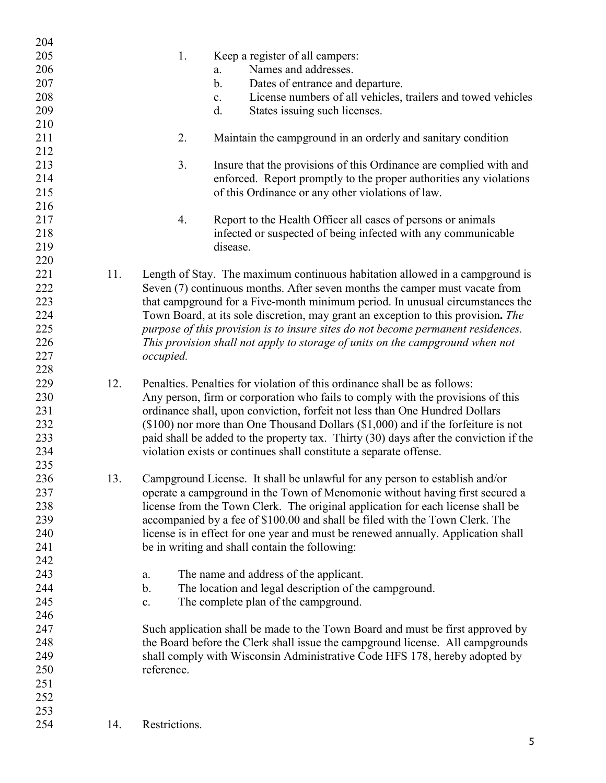| 204 |     |                                                                                       |
|-----|-----|---------------------------------------------------------------------------------------|
| 205 |     | 1.<br>Keep a register of all campers:                                                 |
| 206 |     | Names and addresses.<br>a.                                                            |
| 207 |     | $\mathbf b$ .<br>Dates of entrance and departure.                                     |
| 208 |     | License numbers of all vehicles, trailers and towed vehicles<br>c.                    |
| 209 |     | d.<br>States issuing such licenses.                                                   |
| 210 |     |                                                                                       |
| 211 |     | 2.<br>Maintain the campground in an orderly and sanitary condition                    |
| 212 |     |                                                                                       |
| 213 |     | Insure that the provisions of this Ordinance are complied with and<br>3.              |
| 214 |     | enforced. Report promptly to the proper authorities any violations                    |
| 215 |     | of this Ordinance or any other violations of law.                                     |
| 216 |     |                                                                                       |
| 217 |     | Report to the Health Officer all cases of persons or animals<br>4.                    |
| 218 |     | infected or suspected of being infected with any communicable                         |
| 219 |     | disease.                                                                              |
|     |     |                                                                                       |
| 220 |     |                                                                                       |
| 221 | 11. | Length of Stay. The maximum continuous habitation allowed in a campground is          |
| 222 |     | Seven (7) continuous months. After seven months the camper must vacate from           |
| 223 |     | that campground for a Five-month minimum period. In unusual circumstances the         |
| 224 |     | Town Board, at its sole discretion, may grant an exception to this provision. The     |
| 225 |     | purpose of this provision is to insure sites do not become permanent residences.      |
| 226 |     | This provision shall not apply to storage of units on the campground when not         |
| 227 |     | occupied.                                                                             |
| 228 |     |                                                                                       |
| 229 | 12. | Penalties. Penalties for violation of this ordinance shall be as follows:             |
| 230 |     | Any person, firm or corporation who fails to comply with the provisions of this       |
| 231 |     | ordinance shall, upon conviction, forfeit not less than One Hundred Dollars           |
| 232 |     | $(\$100)$ nor more than One Thousand Dollars $(\$1,000)$ and if the forfeiture is not |
| 233 |     | paid shall be added to the property tax. Thirty (30) days after the conviction if the |
| 234 |     | violation exists or continues shall constitute a separate offense.                    |
| 235 |     |                                                                                       |
| 236 | 13. | Campground License. It shall be unlawful for any person to establish and/or           |
| 237 |     | operate a campground in the Town of Menomonie without having first secured a          |
| 238 |     | license from the Town Clerk. The original application for each license shall be       |
| 239 |     | accompanied by a fee of \$100.00 and shall be filed with the Town Clerk. The          |
| 240 |     | license is in effect for one year and must be renewed annually. Application shall     |
| 241 |     | be in writing and shall contain the following:                                        |
| 242 |     |                                                                                       |
| 243 |     | The name and address of the applicant.<br>a.                                          |
| 244 |     | The location and legal description of the campground.<br>b.                           |
| 245 |     | The complete plan of the campground.<br>c.                                            |
| 246 |     |                                                                                       |
| 247 |     | Such application shall be made to the Town Board and must be first approved by        |
| 248 |     | the Board before the Clerk shall issue the campground license. All campgrounds        |
| 249 |     | shall comply with Wisconsin Administrative Code HFS 178, hereby adopted by            |
| 250 |     | reference.                                                                            |
| 251 |     |                                                                                       |
| 252 |     |                                                                                       |
| 253 |     |                                                                                       |
| 254 | 14. | Restrictions.                                                                         |
|     |     |                                                                                       |